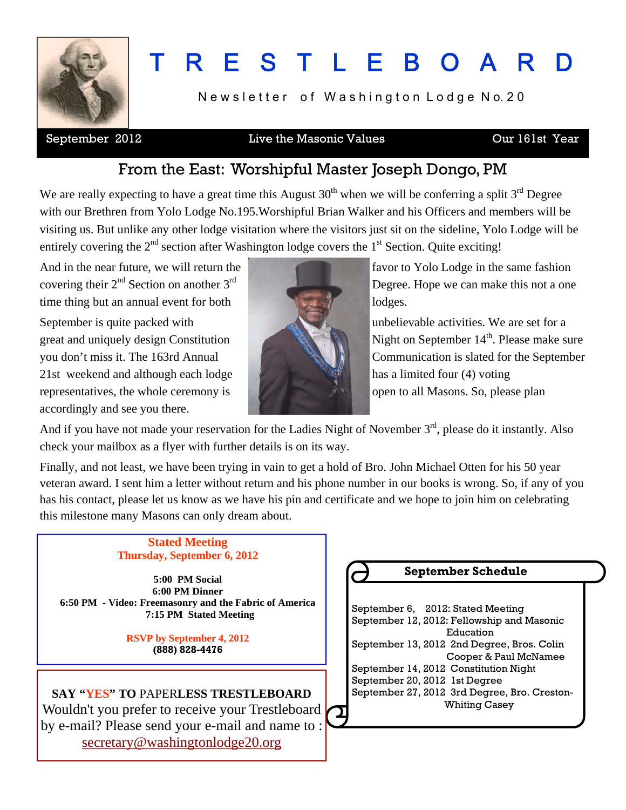

# T R E S T L E B O A R

Newsletter of Washington Lodge No. 20

#### September 2012 **Live the Masonic Values Cur** 161st Year

## From the East: Worshipful Master Joseph Dongo, PM

We are really expecting to have a great time this August  $30<sup>th</sup>$  when we will be conferring a split  $3<sup>rd</sup>$  Degree with our Brethren from Yolo Lodge No.195.Worshipful Brian Walker and his Officers and members will be visiting us. But unlike any other lodge visitation where the visitors just sit on the sideline, Yolo Lodge will be entirely covering the  $2<sup>nd</sup>$  section after Washington lodge covers the  $1<sup>st</sup>$  Section. Quite exciting!

And in the near future, we will return the favor to Yolo Lodge in the same fashion time thing but an annual event for both lodges. September is quite packed with unbelievable activities. We are set for a 21st weekend and although each lodge has a limited four  $(4)$  voting representatives, the whole ceremony is **the set of the set of the set of the set of the set of the set of the set of the set of the set of the set of the set of the set of the set of the set of the set of the set of the se** accordingly and see you there.



covering their  $2<sup>nd</sup>$  Section on another  $3<sup>rd</sup>$  Degree. Hope we can make this not a one

great and uniquely design Constitution Night on September 14<sup>th</sup>. Please make sure you don't miss it. The 163rd Annual Communication is slated for the September

And if you have not made your reservation for the Ladies Night of November 3<sup>rd</sup>, please do it instantly. Also check your mailbox as a flyer with further details is on its way.

Finally, and not least, we have been trying in vain to get a hold of Bro. John Michael Otten for his 50 year veteran award. I sent him a letter without return and his phone number in our books is wrong. So, if any of you has his contact, please let us know as we have his pin and certificate and we hope to join him on celebrating this milestone many Masons can only dream about.

#### **Stated Meeting Thursday, September 6, 2012**

**5:00 PM Social 6:00 PM Dinner 6:50 PM - Video: Freemasonry and the Fabric of America 7:15 PM Stated Meeting** 

> **RSVP by September 4, 2012 (888) 828-4476**

**SAY "YES" TO** PAPER**LESS TRESTLEBOARD** Wouldn't you prefer to receive your Trestleboard by e-mail? Please send your e-mail and name to : [secretary@washingtonlodge20.org](mailto:secretary@washingtonlodge20.org)

## **September Schedule**

 September 6, 2012: Stated Meeting September 12, 2012: Fellowship and Masonic Education September 13, 2012 2nd Degree, Bros. Colin Cooper & Paul McNamee September 14, 2012 Constitution Night September 20, 2012 1st Degree September 27, 2012 3rd Degree, Bro. Creston- Whiting Casey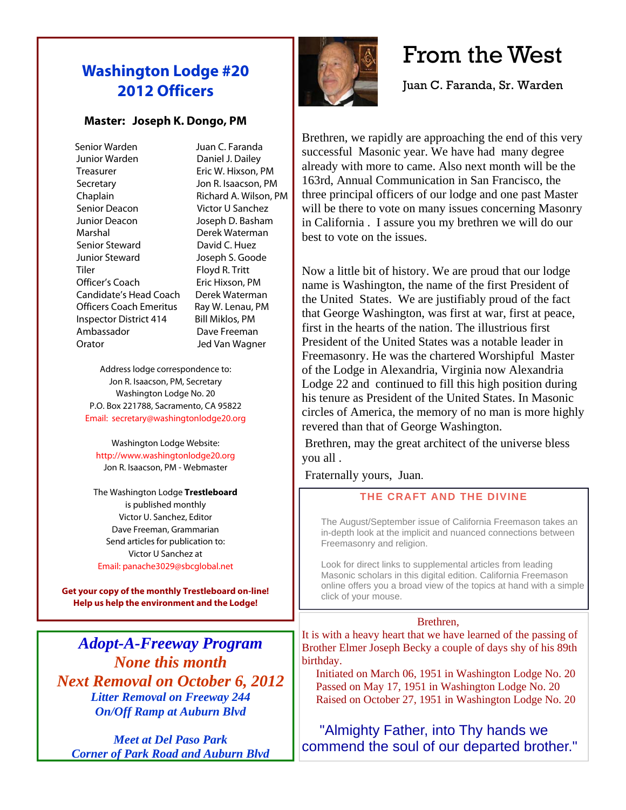## **Washington Lodge #20 2012 Officers**

#### **Master: Joseph K. Dongo, PM**

 Senior Warden Juan C. Faranda Junior Warden Daniel J. Dailey Treasurer Eric W. Hixson, PM Secretary Jon R. Isaacson, PM Chaplain Richard A. Wilson, PM Senior Deacon Victor U Sanchez Junior Deacon Joseph D. Basham Marshal Derek Waterman Senior Steward David C. Huez Junior Steward Joseph S. Goode Tiler Floyd R. Tritt Officer's Coach Eric Hixson, PM Candidate's Head Coach Derek Waterman Officers Coach Emeritus Ray W. Lenau, PM Inspector District 414 Bill Miklos, PM Ambassador Dave Freeman Orator Jed Van Wagner

Address lodge correspondence to: Jon R. Isaacson, PM, Secretary Washington Lodge No. 20 P.O. Box 221788, Sacramento, CA 95822 Email: secretary@washingtonlodge20.org

Washington Lodge Website: http://www.washingtonlodge20.org Jon R. Isaacson, PM - Webmaster

The Washington Lodge **Trestleboard** is published monthly Victor U. Sanchez, Editor Dave Freeman, Grammarian Send articles for publication to: Victor U Sanchez at Email: panache3029@sbcglobal.net

**Get your copy of the monthly Trestleboard on-line! Help us help the environment and the Lodge!** 

*Adopt-A-Freeway Program None this month Next Removal on October 6, 2012 Litter Removal on Freeway 244 On/Off Ramp at Auburn Blvd* 

*Meet at Del Paso Park Corner of Park Road and Auburn Blvd*



## From the West

Juan C. Faranda, Sr. Warden

Brethren, we rapidly are approaching the end of this very successful Masonic year. We have had many degree already with more to came. Also next month will be the 163rd, Annual Communication in San Francisco, the three principal officers of our lodge and one past Master will be there to vote on many issues concerning Masonry in California . I assure you my brethren we will do our best to vote on the issues.

Now a little bit of history. We are proud that our lodge name is Washington, the name of the first President of the United States. We are justifiably proud of the fact that George Washington, was first at war, first at peace, first in the hearts of the nation. The illustrious first President of the United States was a notable leader in Freemasonry. He was the chartered Worshipful Master of the Lodge in Alexandria, Virginia now Alexandria Lodge 22 and continued to fill this high position during his tenure as President of the United States. In Masonic circles of America, the memory of no man is more highly revered than that of George Washington.

 Brethren, may the great architect of the universe bless you all .

Fraternally yours, Juan.

#### **THE CRAFT AND THE DIVINE**

The August/September issue of California Freemason takes an in-depth look at the implicit and nuanced connections between Freemasonry and religion.

Look for direct links to supplemental articles from leading Masonic scholars in this digital edition. California Freemason online offers you a broad view of the topics at hand with a simple click of your mouse.

#### Brethren,

It is with a heavy heart that we have learned of the passing of Brother Elmer Joseph Becky a couple of days shy of his 89th birthday.

 Initiated on March 06, 1951 in Washington Lodge No. 20 Passed on May 17, 1951 in Washington Lodge No. 20 Raised on October 27, 1951 in Washington Lodge No. 20

### "Almighty Father, into Thy hands we commend the soul of our departed brother."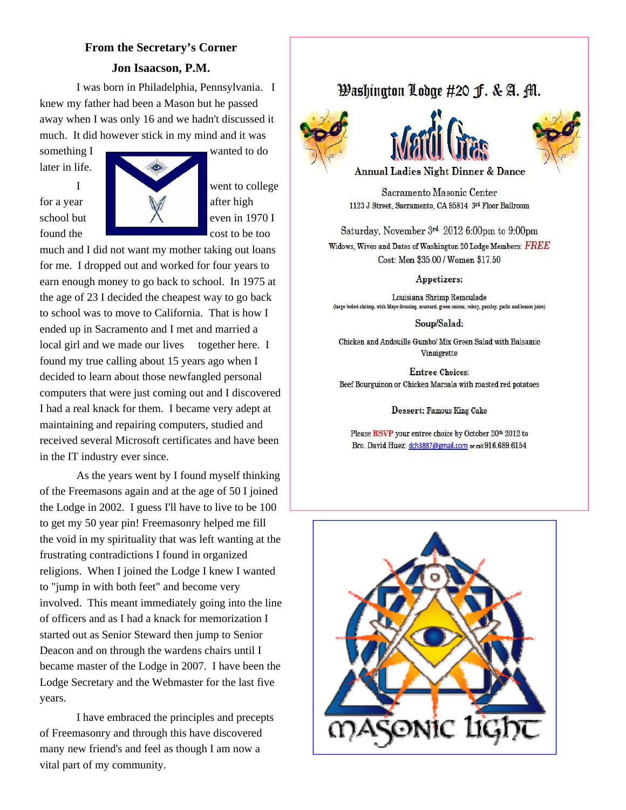## **From the Secretary's Corner Jon Isaacson, P.M.**

I was born in Philadelphia, Pennsylvania. I knew my father had been a Mason but he passed away when I was only 16 and we hadn't discussed it much. It did however stick in my mind and it was

something I wanted to do later in life.



much and I did not want my mother taking out loans for me. I dropped out and worked for four years to earn enough money to go back to school. In 1975 at the age of 23 I decided the cheapest way to go back to school was to move to California. That is how I ended up in Sacramento and I met and married a local girl and we made our lives together here. I found my true calling about 15 years ago when I decided to learn about those newfangled personal computers that were just coming out and I discovered I had a real knack for them. I became very adept at maintaining and repairing computers, studied and received several Microsoft certificates and have been in the IT industry ever since.

 As the years went by I found myself thinking of the Freemasons again and at the age of 50 I joined the Lodge in 2002. I guess I'll have to live to be 100 to get my 50 year pin! Freemasonry helped me fill the void in my spirituality that was left wanting at the frustrating contradictions I found in organized religions. When I joined the Lodge I knew I wanted to "jump in with both feet" and become very involved. This meant immediately going into the line of officers and as I had a knack for memorization I started out as Senior Steward then jump to Senior Deacon and on through the wardens chairs until I became master of the Lodge in 2007. I have been the Lodge Secretary and the Webmaster for the last five years.

 I have embraced the principles and precepts of Freemasonry and through this have discovered many new friend's and feel as though I am now a vital part of my community.

## Washington Lodge #20 J. & A. M.







**Annual Ladies Night Dinner & Dance** 

Sacramento Masonic Center 1123 J Street, Sacramento, CA 95814 3rd Floor Ballroom

Saturday, November 3rd 2012 6:00pm to 9:00pm

Widows, Wives and Dates of Washington 20 Lodge Members:  $\overline{FREE}$ Cost: Men \$35.00 / Women \$17.50

Appetizers:

Louisiana Shrimp Remoulade (large boiled shrimp, with Mayo dressing, mustard, green onions, celery, parsley, garlic and lemon juice)

Soup/Salad:

Chicken and Andouille Gumbo/ Mix Green Salad with Balsamic Vinaigrette

**Entree Choices:** Beef Bourguinon or Chicken Marsala with roasted red potatoes

Dessert: Famous King Cake

Please RSVP your entree choice by October 20th 2012 to Bro. David Huez: dch3887@gmail.com or call 916.689.6154